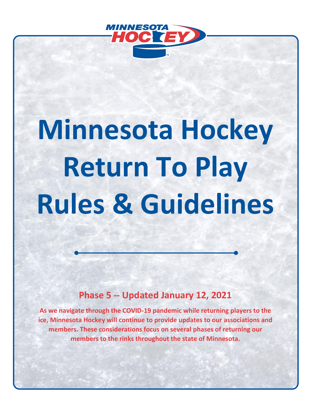

# **Minnesota Hockey Return To Play Rules & Guidelines**

## **Phase 5 -- Updated January 12, 2021**

**As we navigate through the COVID-19 pandemic while returning players to the ice, Minnesota Hockey will continue to provide updates to our associations and members. These considerations focus on several phases of returning our members to the rinks throughout the state of Minnesota.**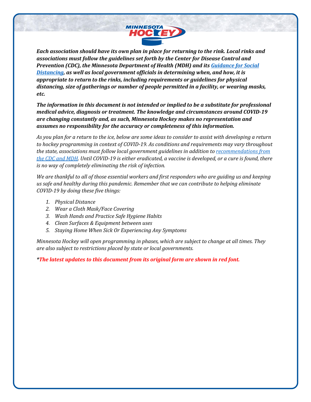

*Each association should have its own plan in place for returning to the rink. Local rinks and associations must follow the guidelines set forth by the Center for Disease Control and Prevention (CDC), the Minnesota Department of Health (MDH) and it[s Guidance for Social](https://www.health.state.mn.us/diseases/coronavirus/sportsguide.pdf)  [Distancing,](https://www.health.state.mn.us/diseases/coronavirus/sportsguide.pdf) as well as local government officials in determining when, and how, it is appropriate to return to the rinks, including requirements or guidelines for physical distancing, size of gatherings or number of people permitted in a facility, or wearing masks, etc.*

*The information in this document is not intended or implied to be a substitute for professional medical advice, diagnosis or treatment. The knowledge and circumstances around COVID-19 are changing constantly and, as such, Minnesota Hockey makes no representation and assumes no responsibility for the accuracy or completeness of this information.*

*As you plan for a return to the ice, below are some ideas to consider to assist with developing a return to hockey programming in context of COVID-19. As conditions and requirements may vary throughout the state, associations must follow local government guidelines in addition to [recommendations from](https://www.cdc.gov/coronavirus/2019-ncov/community/schools-childcare/youth-sports.html)  [the CDC](https://www.cdc.gov/coronavirus/2019-ncov/community/schools-childcare/youth-sports.html) and MDH. Until COVID-19 is either eradicated, a vaccine is developed, or a cure is found, there is no way of completely eliminating the risk of infection.*

*We are thankful to all of those essential workers and first responders who are guiding us and keeping us safe and healthy during this pandemic. Remember that we can contribute to helping eliminate COVID-19 by doing these five things:*

- *1. Physical Distance*
- *2. Wear a Cloth Mask/Face Covering*
- *3. Wash Hands and Practice Safe Hygiene Habits*
- *4. Clean Surfaces & Equipment between uses*
- *5. Staying Home When Sick Or Experiencing Any Symptoms*

*Minnesota Hockey will open programming in phases, which are subject to change at all times. They are also subject to restrictions placed by state or local governments.*

*\*The latest updates to this document from its original form are shown in red font.*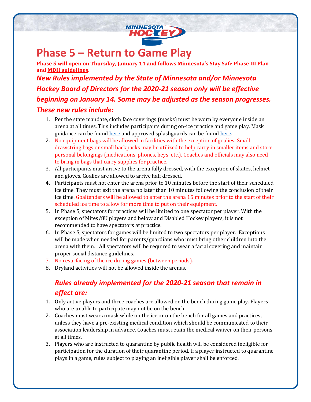

## **Phase 5 – Return to Game Play**

**Phase 5 will open on Thursday, January 14 and follows Minnesota's [Stay Safe Phase III](https://mn.gov/covid19/for-minnesotans/stay-safe-mn/stay-safe-plan.jsp) Plan an[d MDH guidelines.](https://www.health.state.mn.us/diseases/coronavirus/sportsguide.pdf)**  *New Rules implemented by the State of Minnesota and/or Minnesota Hockey Board of Directors for the 2020-21 season only will be effective beginning on January 14. Some may be adjusted as the season progresses.* 

#### *These new rules include:*

- 1. Per the state mandate, cloth face coverings (masks) must be worn by everyone inside an arena at all times. This includes participants during on-ice practice and game play. Mask guidance can be foun[d here](https://cdn2.sportngin.com/attachments/document/df26-2326491/Minnesota_Hockey_Covid_QA-Dec31-final.pdf) and approved splashguards can be foun[d here.](https://cdn2.sportngin.com/attachments/document/2390-2326488/Minnesota_Hockey_Covid_Update-HECC_Masks_FINAL.pdf)
- 2. No equipment bags will be allowed in facilities with the exception of goalies. Small drawstring bags or small backpacks may be utilized to help carry in smaller items and store personal belongings (medications, phones, keys, etc.). Coaches and officials may also need to bring in bags that carry supplies for practice.
- 3. All participants must arrive to the arena fully dressed, with the exception of skates, helmet and gloves. Goalies are allowed to arrive half dressed.
- 4. Participants must not enter the arena prior to 10 minutes before the start of their scheduled ice time. They must exit the arena no later than 10 minutes following the conclusion of their ice time. Goaltenders will be allowed to enter the arena 15 minutes prior to the start of their scheduled ice time to allow for more time to put on their equipment.
- 5. In Phase 5, spectators for practices will be limited to one spectator per player. With the exception of Mites/8U players and below and Disabled Hockey players, it is not recommended to have spectators at practice.
- 6. In Phase 5, spectators for games will be limited to two spectators per player. Exceptions will be made when needed for parents/guardians who must bring other children into the arena with them. All spectators will be required to wear a facial covering and maintain proper social distance guidelines.
- 7. No resurfacing of the ice during games (between periods).
- 8. Dryland activities will not be allowed inside the arenas.

## *Rules already implemented for the 2020-21 season that remain in effect are:*

- 1. Only active players and three coaches are allowed on the bench during game play. Players who are unable to participate may not be on the bench.
- 2. Coaches must wear a mask while on the ice or on the bench for all games and practices, unless they have a pre-existing medical condition which should be communicated to their association leadership in advance. Coaches must retain the medical waiver on their persons at all times.
- 3. Players who are instructed to quarantine by public health will be considered ineligible for participation for the duration of their quarantine period. If a player instructed to quarantine plays in a game, rules subject to playing an ineligible player shall be enforced.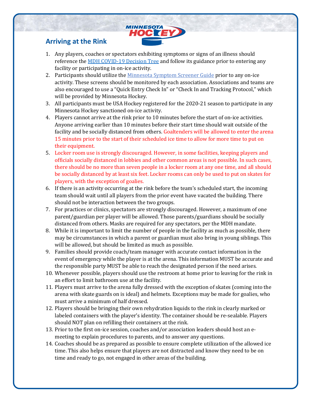## **MINNESOTA** HOC TEY

### **Arriving at the Rink**

- 1. Any players, coaches or spectators exhibiting symptoms or signs of an illness should reference the [MDH COVID-19 Decision Tree](https://www.health.state.mn.us/diseases/coronavirus/schools/exguide.pdf) and follow its guidance prior to entering any facility or participating in on-ice activity.
- 2. Participants should utilize the [Minnesota Symptom Screener Guide](https://mnsymptomscreener.minnesotasafetycouncil.org/user-guide.pdf) prior to any on-ice activity. These screens should be monitored by each association. Associations and teams are also encouraged to use a "Quick Entry Check In" or "Check In and Tracking Protocol," which will be provided by Minnesota Hockey.
- 3. All participants must be USA Hockey registered for the 2020-21 season to participate in any Minnesota Hockey sanctioned on-ice activity.
- 4. Players cannot arrive at the rink prior to 10 minutes before the start of on-ice activities. Anyone arriving earlier than 10 minutes before their start time should wait outside of the facility and be socially distanced from others. Goaltenders will be allowed to enter the arena 15 minutes prior to the start of their scheduled ice time to allow for more time to put on their equipment.
- 5. Locker room use is strongly discouraged. However, in some facilities, keeping players and officials socially distanced in lobbies and other common areas is not possible. In such cases, there should be no more than seven people in a locker room at any one time, and all should be socially distanced by at least six feet. Locker rooms can only be used to put on skates for players, with the exception of goalies.
- 6. If there is an activity occurring at the rink before the team's scheduled start, the incoming team should wait until all players from the prior event have vacated the building. There should not be interaction between the two groups.
- 7. For practices or clinics, spectators are strongly discouraged. However, a maximum of one parent/guardian per player will be allowed. Those parents/guardians should be socially distanced from others. Masks are required for any spectators, per the MDH mandate.
- 8. While it is important to limit the number of people in the facility as much as possible, there may be circumstances in which a parent or guardian must also bring in young siblings. This will be allowed, but should be limited as much as possible.
- 9. Families should provide coach/team manager with accurate contact information in the event of emergency while the player is at the arena. This information MUST be accurate and the responsible party MUST be able to reach the designated person if the need arises.
- 10. Whenever possible, players should use the restroom at home prior to leaving for the rink in an effort to limit bathroom use at the facility.
- 11. Players must arrive to the arena fully dressed with the exception of skates (coming into the arena with skate guards on is ideal) and helmets. Exceptions may be made for goalies, who must arrive a minimum of half dressed.
- 12. Players should be bringing their own rehydration liquids to the rink in clearly marked or labeled containers with the player's identity. The container should be re-sealable. Players should NOT plan on refilling their containers at the rink.
- 13. Prior to the first on-ice session, coaches and/or association leaders should host an emeeting to explain procedures to parents, and to answer any questions.
- 14. Coaches should be as prepared as possible to ensure complete utilization of the allowed ice time. This also helps ensure that players are not distracted and know they need to be on time and ready to go, not engaged in other areas of the building.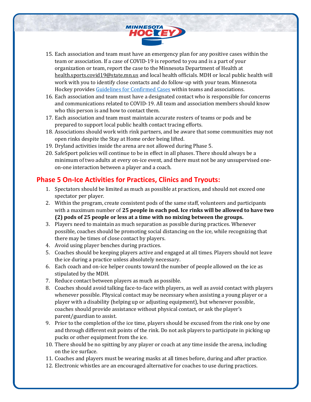

- 15. Each association and team must have an emergency plan for any positive cases within the team or association. If a case of COVID-19 is reported to you and is a part of your organization or team, report the case to the Minnesota Department of Health at [health.sports.covid19@state.mn.us](mailto:health.sports.covid19@state.mn.us) and local health officials. MDH or local public health will work with you to identify close contacts and do follow-up with your team. Minnesota Hockey provides [Guidelines for Confirmed Cases](https://www.minnesotahockey.org/covid19) within teams and associations.
- 16. Each association and team must have a designated contact who is responsible for concerns and communications related to COVID-19. All team and association members should know who this person is and how to contact them.
- 17. Each association and team must maintain accurate rosters of teams or pods and be prepared to support local public health contact tracing efforts.
- 18. Associations should work with rink partners, and be aware that some communities may not open rinks despite the Stay at Home order being lifted.
- 19. Dryland activities inside the arena are not allowed during Phase 5.
- 20. SafeSport policies will continue to be in effect in all phases. There should always be a minimum of two adults at every on-ice event, and there must not be any unsupervised oneon-one interaction between a player and a coach.

#### **Phase 5 On-Ice Activities for Practices, Clinics and Tryouts:**

- 1. Spectators should be limited as much as possible at practices, and should not exceed one spectator per player.
- 2. Within the program, create consistent pods of the same staff, volunteers and participants with a maximum number of **25 people in each pod. Ice rinks will be allowed to have two (2) pods of 25 people or less at a time with no mixing between the groups.**
- 3. Players need to maintain as much separation as possible during practices. Whenever possible, coaches should be promoting social distancing on the ice, while recognizing that there may be times of close contact by players.
- 4. Avoid using player benches during practices.
- 5. Coaches should be keeping players active and engaged at all times. Players should not leave the ice during a practice unless absolutely necessary.
- 6. Each coach and on-ice helper counts toward the number of people allowed on the ice as stipulated by the MDH.
- 7. Reduce contact between players as much as possible.
- 8. Coaches should avoid talking face-to-face with players, as well as avoid contact with players whenever possible. Physical contact may be necessary when assisting a young player or a player with a disability (helping up or adjusting equipment), but whenever possible, coaches should provide assistance without physical contact, or ask the player's parent/guardian to assist.
- 9. Prior to the completion of the ice time, players should be excused from the rink one by one and through different exit points of the rink. Do not ask players to participate in picking up pucks or other equipment from the ice.
- 10. There should be no spitting by any player or coach at any time inside the arena, including on the ice surface.
- 11. Coaches and players must be wearing masks at all times before, during and after practice.
- 12. Electronic whistles are an encouraged alternative for coaches to use during practices.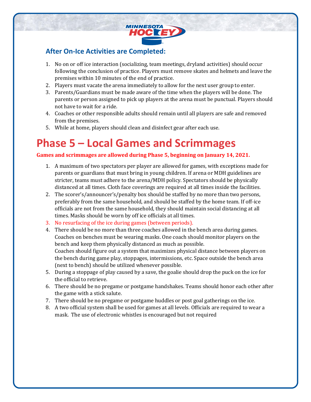

#### **After On-Ice Activities are Completed:**

- 1. No on or off ice interaction (socializing, team meetings, dryland activities) should occur following the conclusion of practice. Players must remove skates and helmets and leave the premises within 10 minutes of the end of practice.
- 2. Players must vacate the arena immediately to allow for the next user group to enter.
- 3. Parents/Guardians must be made aware of the time when the players will be done. The parents or person assigned to pick up players at the arena must be punctual. Players should not have to wait for a ride.
- 4. Coaches or other responsible adults should remain until all players are safe and removed from the premises.
- 5. While at home, players should clean and disinfect gear after each use.

# **Phase 5 – Local Games and Scrimmages**

#### **Games and scrimmages are allowed during Phase 5, beginning on January 14, 2021.**

- 1. A maximum of two spectators per player are allowed for games, with exceptions made for parents or guardians that must bring in young children. If arena or MDH guidelines are stricter, teams must adhere to the arena/MDH policy. Spectators should be physically distanced at all times. Cloth face coverings are required at all times inside the facilities.
- 2. The scorer's/announcer's/penalty box should be staffed by no more than two persons, preferably from the same household, and should be staffed by the home team. If off-ice officials are not from the same household, they should maintain social distancing at all times. Masks should be worn by off ice officials at all times.
- 3. No resurfacing of the ice during games (between periods).
- 4. There should be no more than three coaches allowed in the bench area during games. Coaches on benches must be wearing masks. One coach should monitor players on the bench and keep them physically distanced as much as possible. Coaches should figure out a system that maximizes physical distance between players on the bench during game play, stoppages, intermissions, etc. Space outside the bench area (next to bench) should be utilized whenever possible.
- 5. During a stoppage of play caused by a save, the goalie should drop the puck on the ice for the official to retrieve.
- 6. There should be no pregame or postgame handshakes. Teams should honor each other after the game with a stick salute.
- 7. There should be no pregame or postgame huddles or post goal gatherings on the ice.
- 8. A two official system shall be used for games at all levels. Officials are required to wear a mask. The use of electronic whistles is encouraged but not required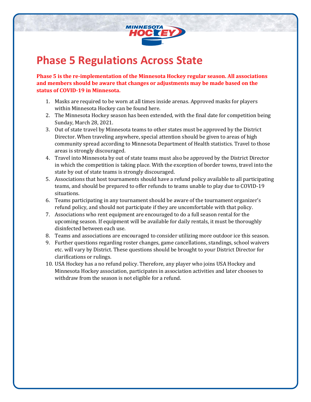

## **Phase 5 Regulations Across State**

**Phase 5 is the re-implementation of the Minnesota Hockey regular season. All associations and members should be aware that changes or adjustments may be made based on the status of COVID-19 in Minnesota.**

- 1. Masks are required to be worn at all times inside arenas. Approved masks for players within Minnesota Hockey can be found here.
- 2. The Minnesota Hockey season has been extended, with the final date for competition being Sunday, March 28, 2021.
- 3. Out of state travel by Minnesota teams to other states must be approved by the District Director. When traveling anywhere, special attention should be given to areas of high community spread according to Minnesota Department of Health statistics. Travel to those areas is strongly discouraged.
- 4. Travel into Minnesota by out of state teams must also be approved by the District Director in which the competition is taking place. With the exception of border towns, travel into the state by out of state teams is strongly discouraged.
- 5. Associations that host tournaments should have a refund policy available to all participating teams, and should be prepared to offer refunds to teams unable to play due to COVID-19 situations.
- 6. Teams participating in any tournament should be aware of the tournament organizer's refund policy, and should not participate if they are uncomfortable with that policy.
- 7. Associations who rent equipment are encouraged to do a full season rental for the upcoming season. If equipment will be available for daily rentals, it must be thoroughly disinfected between each use.
- 8. Teams and associations are encouraged to consider utilizing more outdoor ice this season.
- 9. Further questions regarding roster changes, game cancellations, standings, school waivers etc. will vary by District. These questions should be brought to your District Director for clarifications or rulings.
- 10. USA Hockey has a no refund policy. Therefore, any player who joins USA Hockey and Minnesota Hockey association, participates in association activities and later chooses to withdraw from the season is not eligible for a refund.